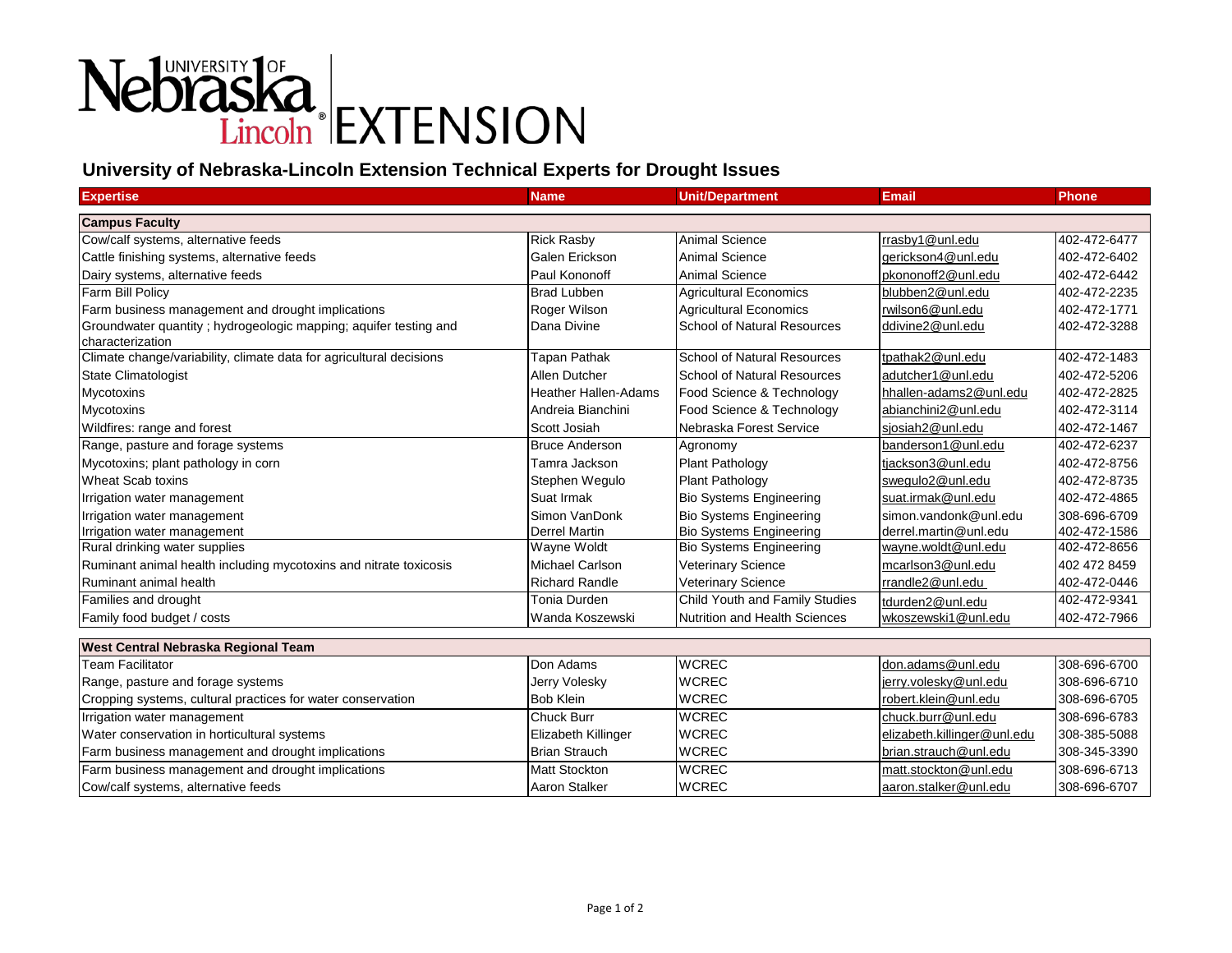## Nebraska<br>Lincoln EXTENSION

## **University of Nebraska-Lincoln Extension Technical Experts for Drought Issues**

| <b>Expertise</b>                                                                      | <b>Name</b>                 | <b>Unit/Department</b>             | <b>Email</b>           | <b>Phone</b> |
|---------------------------------------------------------------------------------------|-----------------------------|------------------------------------|------------------------|--------------|
| <b>Campus Faculty</b>                                                                 |                             |                                    |                        |              |
| Cow/calf systems, alternative feeds                                                   | <b>Rick Rasby</b>           | Animal Science                     | rrasby1@unl.edu        | 402-472-6477 |
| Cattle finishing systems, alternative feeds                                           | Galen Erickson              | <b>Animal Science</b>              | gerickson4@unl.edu     | 402-472-6402 |
| Dairy systems, alternative feeds                                                      | Paul Kononoff               | Animal Science                     | pkononoff2@unl.edu     | 402-472-6442 |
| Farm Bill Policv                                                                      | <b>Brad Lubben</b>          | <b>Agricultural Economics</b>      | blubben2@unl.edu       | 402-472-2235 |
| Farm business management and drought implications                                     | Roger Wilson                | Agricultural Economics             | rwilson6@unl.edu       | 402-472-1771 |
| Groundwater quantity ; hydrogeologic mapping; aquifer testing and<br>characterization | Dana Divine                 | <b>School of Natural Resources</b> | ddivine2@unl.edu       | 402-472-3288 |
| Climate change/variability, climate data for agricultural decisions                   | Tapan Pathak                | <b>School of Natural Resources</b> | tpathak2@unl.edu       | 402-472-1483 |
| <b>State Climatologist</b>                                                            | <b>Allen Dutcher</b>        | School of Natural Resources        | adutcher1@unl.edu      | 402-472-5206 |
| <b>Mycotoxins</b>                                                                     | <b>Heather Hallen-Adams</b> | Food Science & Technology          | hhallen-adams2@unl.edu | 402-472-2825 |
| Mycotoxins                                                                            | Andreia Bianchini           | Food Science & Technology          | abianchini2@unl.edu    | 402-472-3114 |
| Wildfires: range and forest                                                           | Scott Josiah                | Nebraska Forest Service            | siosiah2@unl.edu       | 402-472-1467 |
| Range, pasture and forage systems                                                     | <b>Bruce Anderson</b>       | Agronomy                           | banderson1@unl.edu     | 402-472-6237 |
| Mycotoxins; plant pathology in corn                                                   | Tamra Jackson               | <b>Plant Pathology</b>             | tjackson3@unl.edu      | 402-472-8756 |
| Wheat Scab toxins                                                                     | Stephen Wegulo              | Plant Pathology                    | swegulo2@unl.edu       | 402-472-8735 |
| Irrigation water management                                                           | Suat Irmak                  | <b>Bio Systems Engineering</b>     | suat.irmak@unl.edu     | 402-472-4865 |
| Irrigation water management                                                           | Simon VanDonk               | Bio Systems Engineering            | simon.vandonk@unl.edu  | 308-696-6709 |
| Irrigation water management                                                           | <b>Derrel Martin</b>        | <b>Bio Systems Engineering</b>     | derrel.martin@unl.edu  | 402-472-1586 |
| Rural drinking water supplies                                                         | Wayne Woldt                 | <b>Bio Systems Engineering</b>     | wayne.woldt@unl.edu    | 402-472-8656 |
| Ruminant animal health including mycotoxins and nitrate toxicosis                     | <b>Michael Carlson</b>      | Veterinary Science                 | mcarlson3@unl.edu      | 402 472 8459 |
| Ruminant animal health                                                                | <b>Richard Randle</b>       | Veterinary Science                 | rrandle2@unl.edu       | 402-472-0446 |
| Families and drought                                                                  | <b>Tonia Durden</b>         | Child Youth and Family Studies     | tdurden2@unl.edu       | 402-472-9341 |
| Family food budget / costs                                                            | Wanda Koszewski             | Nutrition and Health Sciences      | wkoszewski1@unl.edu    | 402-472-7966 |
|                                                                                       |                             |                                    |                        |              |
| West Central Nebraska Regional Team<br>Team Facilitator                               | Don Adams                   | <b>WCREC</b>                       | don.adams@unl.edu      | 308-696-6700 |

| Team Facilitator                                            | Don Adams                  | <b>IWCREC</b> | Idon.adams@unl.edu          | 1308-696-6700 |
|-------------------------------------------------------------|----------------------------|---------------|-----------------------------|---------------|
| Range, pasture and forage systems                           | Jerry Volesky              | <b>WCREC</b>  | ljerry.volesky@unl.edu      | 308-696-6710  |
| Cropping systems, cultural practices for water conservation | <b>Bob Klein</b>           | <b>WCREC</b>  | robert.klein@unl.edu        | 308-696-6705  |
| Irrigation water management                                 | Chuck Burr                 | <b>IWCREC</b> | chuck.burr@unl.edu          | 308-696-6783  |
| Water conservation in horticultural systems                 | <b>Elizabeth Killinger</b> | <b>WCREC</b>  | elizabeth.killinger@unl.edu | 308-385-5088  |
| Farm business management and drought implications           | Brian Strauch              | <b>IWCREC</b> | brian.strauch@unl.edu       | 308-345-3390  |
| Farm business management and drought implications           | <b>Matt Stockton</b>       | <b>WCREC</b>  | matt.stockton@unl.edu       | 308-696-6713  |
| Cow/calf systems, alternative feeds                         | Aaron Stalker              | <b>IWCREC</b> | laaron.stalker@unl.edu      | 308-696-6707  |